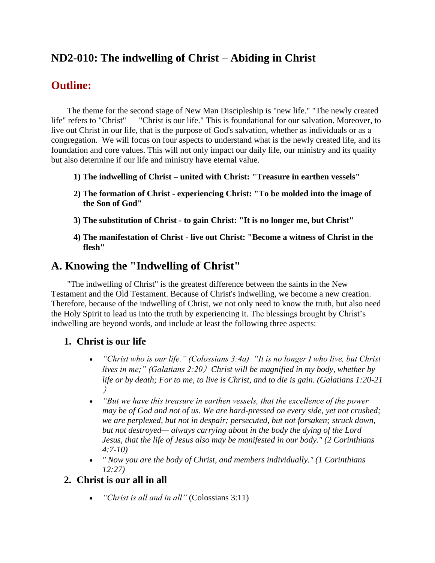## **ND2-010: The indwelling of Christ – Abiding in Christ**

## **Outline:**

The theme for the second stage of New Man Discipleship is "new life." "The newly created life" refers to "Christ" — "Christ is our life." This is foundational for our salvation. Moreover, to live out Christ in our life, that is the purpose of God's salvation, whether as individuals or as a congregation. We will focus on four aspects to understand what is the newly created life, and its foundation and core values. This will not only impact our daily life, our ministry and its quality but also determine if our life and ministry have eternal value.

- **1) The indwelling of Christ – united with Christ: "Treasure in earthen vessels"**
- **2) The formation of Christ - experiencing Christ: "To be molded into the image of the Son of God"**
- **3) The substitution of Christ - to gain Christ: "It is no longer me, but Christ"**
- **4) The manifestation of Christ - live out Christ: "Become a witness of Christ in the flesh"**

## **A. Knowing the "Indwelling of Christ"**

"The indwelling of Christ" is the greatest difference between the saints in the New Testament and the Old Testament. Because of Christ's indwelling, we become a new creation. Therefore, because of the indwelling of Christ, we not only need to know the truth, but also need the Holy Spirit to lead us into the truth by experiencing it. The blessings brought by Christ's indwelling are beyond words, and include at least the following three aspects:

### **1. Christ is our life**

- *"Christ who is our life." (Colossians 3:4a) "It is no longer I who live, but Christ lives in me;" (Galatians 2:20*)*Christ will be magnified in my body, whether by life or by death; For to me, to live is Christ, and to die is gain. (Galatians 1:20-21* )
- *"But we have this treasure in earthen vessels, that the excellence of the power may be of God and not of us. We are hard-pressed on every side, yet not crushed; we are perplexed, but not in despair; persecuted, but not forsaken; struck down, but not destroyed— always carrying about in the body the dying of the Lord Jesus, that the life of Jesus also may be manifested in our body." (2 Corinthians 4:7-10)*
- *" Now you are the body of Christ, and members individually." (1 Corinthians 12:27)*

## **2. Christ is our all in all**

• *"Christ is all and in all"* (Colossians 3:11)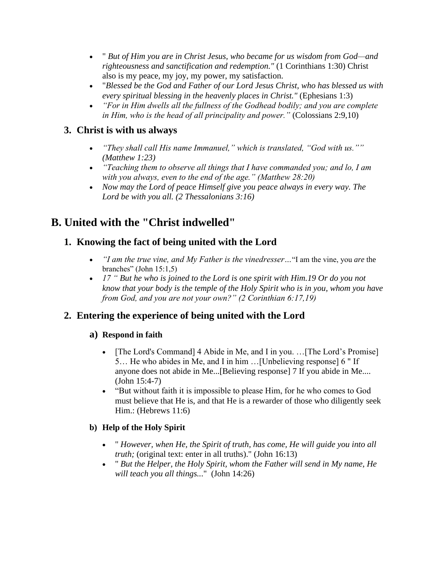- " *But of Him you are in Christ Jesus, who became for us wisdom from God—and righteousness and sanctification and redemption."* (1 Corinthians 1:30) Christ also is my peace, my joy, my power, my satisfaction.
- "*Blessed be the God and Father of our Lord Jesus Christ, who has blessed us with every spiritual blessing in the heavenly places in Christ."* (Ephesians 1:3)
- *"For in Him dwells all the fullness of the Godhead bodily; and you are complete in Him, who is the head of all principality and power."* (Colossians 2:9,10)

## **3. Christ is with us always**

- *"They shall call His name Immanuel," which is translated, "God with us."" (Matthew 1:23)*
- *"Teaching them to observe all things that I have commanded you; and lo, I am with you always, even to the end of the age." (Matthew 28:20)*
- *Now may the Lord of peace Himself give you peace always in every way. The Lord be with you all. (2 Thessalonians 3:16)*

# **B. United with the "Christ indwelled"**

## **1. Knowing the fact of being united with the Lord**

- *"I am the true vine, and My Father is the vinedresser…*"I am the vine, you *are* the branches" (John 15:1,5)
- *17 " But he who is joined to the Lord is one spirit with Him.19 Or do you not know that your body is the temple of the Holy Spirit who is in you, whom you have from God, and you are not your own?" (2 Corinthian 6:17,19)*

## **2. Entering the experience of being united with the Lord**

### **a) Respond in faith**

- [The Lord's Command] 4 Abide in Me, and I in you. ... [The Lord's Promise] 5… He who abides in Me, and I in him …[Unbelieving response] 6 " If anyone does not abide in Me...[Believing response] 7 If you abide in Me.... (John 15:4-7)
- "But without faith it is impossible to please Him, for he who comes to God must believe that He is, and that He is a rewarder of those who diligently seek Him.: (Hebrews 11:6)

### **b) Help of the Holy Spirit**

- " *However, when He, the Spirit of truth, has come, He will guide you into all truth;* (original text: enter in all truths)." (John 16:13)
- " *But the Helper, the Holy Spirit, whom the Father will send in My name, He will teach you all things..*." (John 14:26)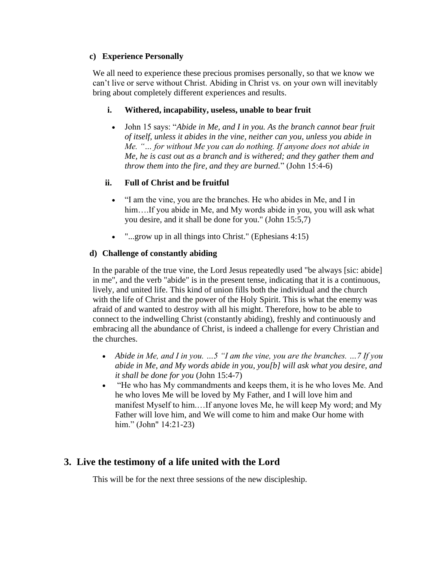#### **c) Experience Personally**

We all need to experience these precious promises personally, so that we know we can't live or serve without Christ. Abiding in Christ vs. on your own will inevitably bring about completely different experiences and results.

#### **i. Withered, incapability, useless, unable to bear fruit**

• John 15 says: "*Abide in Me, and I in you. As the branch cannot bear fruit of itself, unless it abides in the vine, neither can you, unless you abide in Me. "… for without Me you can do nothing. If anyone does not abide in Me, he is cast out as a branch and is withered; and they gather them and throw them into the fire, and they are burned.*" (John 15:4-6)

### **ii. Full of Christ and be fruitful**

- "I am the vine, you are the branches. He who abides in Me, and I in him....If you abide in Me, and My words abide in you, you will ask what you desire, and it shall be done for you." (John 15:5,7)
- "...grow up in all things into Christ." (Ephesians 4:15)

### **d) Challenge of constantly abiding**

In the parable of the true vine, the Lord Jesus repeatedly used "be always [sic: abide] in me", and the verb "abide" is in the present tense, indicating that it is a continuous, lively, and united life. This kind of union fills both the individual and the church with the life of Christ and the power of the Holy Spirit. This is what the enemy was afraid of and wanted to destroy with all his might. Therefore, how to be able to connect to the indwelling Christ (constantly abiding), freshly and continuously and embracing all the abundance of Christ, is indeed a challenge for every Christian and the churches.

- *Abide in Me, and I in you. …5 "I am the vine, you are the branches. …7 If you abide in Me, and My words abide in you, you[b] will ask what you desire, and it shall be done for you* (John 15:4-7)
- "He who has My commandments and keeps them, it is he who loves Me. And he who loves Me will be loved by My Father, and I will love him and manifest Myself to him.…If anyone loves Me, he will keep My word; and My Father will love him, and We will come to him and make Our home with him." (John" 14:21-23)

### **3. Live the testimony of a life united with the Lord**

This will be for the next three sessions of the new discipleship.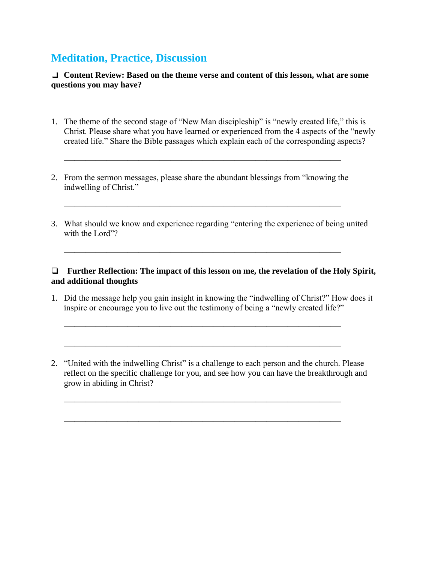## **Meditation, Practice, Discussion**

❏ **Content Review: Based on the theme verse and content of this lesson, what are some questions you may have?**

- 1. The theme of the second stage of "New Man discipleship" is "newly created life," this is Christ. Please share what you have learned or experienced from the 4 aspects of the "newly created life." Share the Bible passages which explain each of the corresponding aspects?
- 2. From the sermon messages, please share the abundant blessings from "knowing the indwelling of Christ."

 $\overline{\phantom{a}}$  , and the contract of the contract of the contract of the contract of the contract of the contract of the contract of the contract of the contract of the contract of the contract of the contract of the contrac

 $\overline{\phantom{a}}$  , and the contract of the contract of the contract of the contract of the contract of the contract of the contract of the contract of the contract of the contract of the contract of the contract of the contrac

 $\overline{\phantom{a}}$  , and the contract of the contract of the contract of the contract of the contract of the contract of the contract of the contract of the contract of the contract of the contract of the contract of the contrac

3. What should we know and experience regarding "entering the experience of being united with the Lord"?

#### ❏ **Further Reflection: The impact of this lesson on me, the revelation of the Holy Spirit, and additional thoughts**

1. Did the message help you gain insight in knowing the "indwelling of Christ?" How does it inspire or encourage you to live out the testimony of being a "newly created life?"

 $\overline{\phantom{a}}$  , and the contract of the contract of the contract of the contract of the contract of the contract of the contract of the contract of the contract of the contract of the contract of the contract of the contrac

 $\overline{\phantom{a}}$  , and the contract of the contract of the contract of the contract of the contract of the contract of the contract of the contract of the contract of the contract of the contract of the contract of the contrac

 $\overline{\phantom{a}}$  , and the contract of the contract of the contract of the contract of the contract of the contract of the contract of the contract of the contract of the contract of the contract of the contract of the contrac

 $\overline{\phantom{a}}$  , and the contract of the contract of the contract of the contract of the contract of the contract of the contract of the contract of the contract of the contract of the contract of the contract of the contrac

2. "United with the indwelling Christ" is a challenge to each person and the church. Please reflect on the specific challenge for you, and see how you can have the breakthrough and grow in abiding in Christ?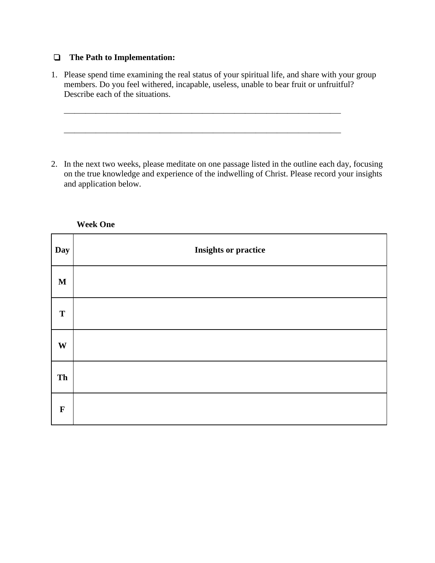#### ❏ **The Path to Implementation:**

1. Please spend time examining the real status of your spiritual life, and share with your group members. Do you feel withered, incapable, useless, unable to bear fruit or unfruitful? Describe each of the situations.

 $\overline{\phantom{a}}$  , and the contract of the contract of the contract of the contract of the contract of the contract of the contract of the contract of the contract of the contract of the contract of the contract of the contrac

 $\overline{\phantom{a}}$  , and the contract of the contract of the contract of the contract of the contract of the contract of the contract of the contract of the contract of the contract of the contract of the contract of the contrac

2. In the next two weeks, please meditate on one passage listed in the outline each day, focusing on the true knowledge and experience of the indwelling of Christ. Please record your insights and application below.

| Day          | <b>Insights or practice</b> |
|--------------|-----------------------------|
| $\mathbf M$  |                             |
| T            |                             |
| $\mathbf{W}$ |                             |
| Th           |                             |
| $\mathbf F$  |                             |

**Week One**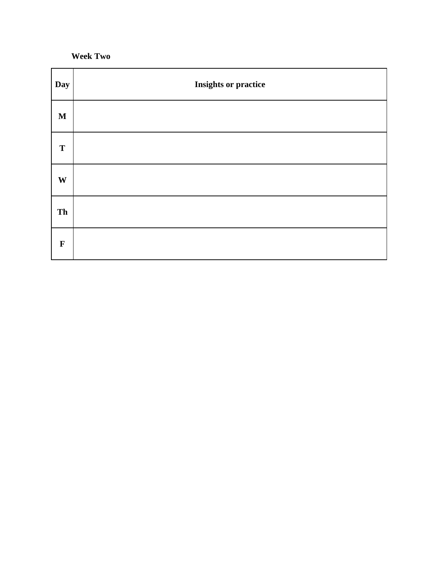**Week Two**

| Day          | <b>Insights or practice</b> |
|--------------|-----------------------------|
| $\mathbf M$  |                             |
| T            |                             |
| $\mathbf{W}$ |                             |
| Th           |                             |
| $\mathbf F$  |                             |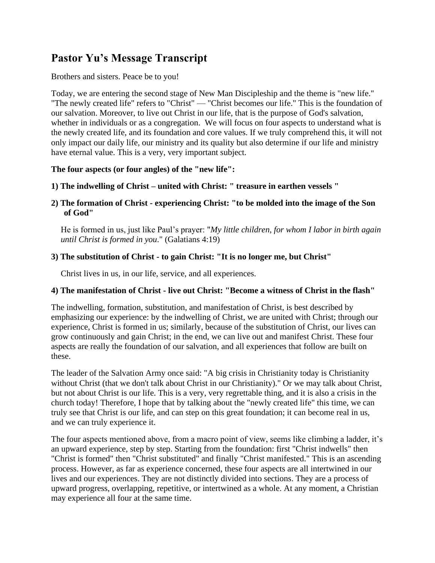## **Pastor Yu's Message Transcript**

#### Brothers and sisters. Peace be to you!

Today, we are entering the second stage of New Man Discipleship and the theme is "new life." "The newly created life" refers to "Christ" — "Christ becomes our life." This is the foundation of our salvation. Moreover, to live out Christ in our life, that is the purpose of God's salvation, whether in individuals or as a congregation. We will focus on four aspects to understand what is the newly created life, and its foundation and core values. If we truly comprehend this, it will not only impact our daily life, our ministry and its quality but also determine if our life and ministry have eternal value. This is a very, very important subject.

#### **The four aspects (or four angles) of the "new life":**

**1) The indwelling of Christ – united with Christ: " treasure in earthen vessels "**

**2) The formation of Christ - experiencing Christ: "to be molded into the image of the Son of God"**

He is formed in us, just like Paul's prayer: "*My little children, for whom I labor in birth again until Christ is formed in you*." (Galatians 4:19)

### **3) The substitution of Christ - to gain Christ: "It is no longer me, but Christ"**

Christ lives in us, in our life, service, and all experiences.

#### **4) The manifestation of Christ - live out Christ: "Become a witness of Christ in the flash"**

The indwelling, formation, substitution, and manifestation of Christ, is best described by emphasizing our experience: by the indwelling of Christ, we are united with Christ; through our experience, Christ is formed in us; similarly, because of the substitution of Christ, our lives can grow continuously and gain Christ; in the end, we can live out and manifest Christ. These four aspects are really the foundation of our salvation, and all experiences that follow are built on these.

The leader of the Salvation Army once said: "A big crisis in Christianity today is Christianity without Christ (that we don't talk about Christ in our Christianity)." Or we may talk about Christ, but not about Christ is our life. This is a very, very regrettable thing, and it is also a crisis in the church today! Therefore, I hope that by talking about the "newly created life" this time, we can truly see that Christ is our life, and can step on this great foundation; it can become real in us, and we can truly experience it.

The four aspects mentioned above, from a macro point of view, seems like climbing a ladder, it's an upward experience, step by step. Starting from the foundation: first "Christ indwells" then "Christ is formed" then "Christ substituted" and finally "Christ manifested." This is an ascending process. However, as far as experience concerned, these four aspects are all intertwined in our lives and our experiences. They are not distinctly divided into sections. They are a process of upward progress, overlapping, repetitive, or intertwined as a whole. At any moment, a Christian may experience all four at the same time.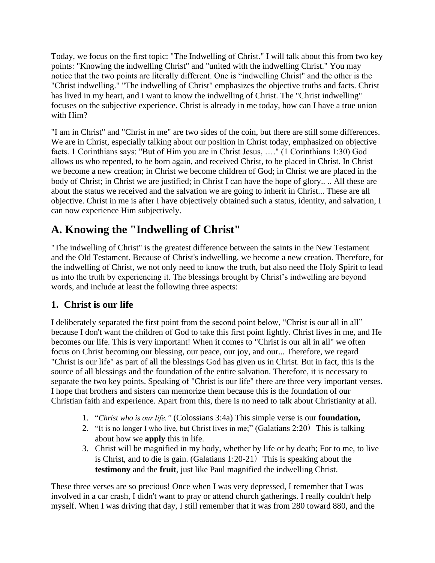Today, we focus on the first topic: "The Indwelling of Christ." I will talk about this from two key points: "Knowing the indwelling Christ" and "united with the indwelling Christ." You may notice that the two points are literally different. One is "indwelling Christ" and the other is the "Christ indwelling." "The indwelling of Christ" emphasizes the objective truths and facts. Christ has lived in my heart, and I want to know the indwelling of Christ. The "Christ indwelling" focuses on the subjective experience. Christ is already in me today, how can I have a true union with Him?

"I am in Christ" and "Christ in me" are two sides of the coin, but there are still some differences. We are in Christ, especially talking about our position in Christ today, emphasized on objective facts. 1 Corinthians says: "But of Him you are in Christ Jesus, …." (1 Corinthians 1:30) God allows us who repented, to be born again, and received Christ, to be placed in Christ. In Christ we become a new creation; in Christ we become children of God; in Christ we are placed in the body of Christ; in Christ we are justified; in Christ I can have the hope of glory.. .. All these are about the status we received and the salvation we are going to inherit in Christ... These are all objective. Christ in me is after I have objectively obtained such a status, identity, and salvation, I can now experience Him subjectively.

# **A. Knowing the "Indwelling of Christ"**

"The indwelling of Christ" is the greatest difference between the saints in the New Testament and the Old Testament. Because of Christ's indwelling, we become a new creation. Therefore, for the indwelling of Christ, we not only need to know the truth, but also need the Holy Spirit to lead us into the truth by experiencing it. The blessings brought by Christ's indwelling are beyond words, and include at least the following three aspects:

## **1. Christ is our life**

I deliberately separated the first point from the second point below, "Christ is our all in all" because I don't want the children of God to take this first point lightly. Christ lives in me, and He becomes our life. This is very important! When it comes to "Christ is our all in all" we often focus on Christ becoming our blessing, our peace, our joy, and our... Therefore, we regard "Christ is our life" as part of all the blessings God has given us in Christ. But in fact, this is the source of all blessings and the foundation of the entire salvation. Therefore, it is necessary to separate the two key points. Speaking of "Christ is our life" there are three very important verses. I hope that brothers and sisters can memorize them because this is the foundation of our Christian faith and experience. Apart from this, there is no need to talk about Christianity at all.

- 1. "*Christ who is our life."* (Colossians 3:4a) This simple verse is our **foundation,**
- 2. "It is no longer I who live, but Christ lives in me;" (Galatians 2:20) This is talking about how we **apply** this in life.
- 3. Christ will be magnified in my body, whether by life or by death; For to me, to live is Christ, and to die is gain. (Galatians  $1:20-21$ ) This is speaking about the **testimony** and the **fruit**, just like Paul magnified the indwelling Christ.

These three verses are so precious! Once when I was very depressed, I remember that I was involved in a car crash, I didn't want to pray or attend church gatherings. I really couldn't help myself. When I was driving that day, I still remember that it was from 280 toward 880, and the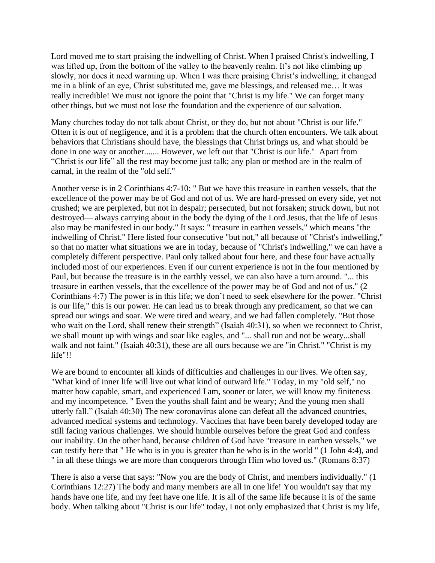Lord moved me to start praising the indwelling of Christ. When I praised Christ's indwelling, I was lifted up, from the bottom of the valley to the heavenly realm. It's not like climbing up slowly, nor does it need warming up. When I was there praising Christ's indwelling, it changed me in a blink of an eye, Christ substituted me, gave me blessings, and released me… It was really incredible! We must not ignore the point that "Christ is my life." We can forget many other things, but we must not lose the foundation and the experience of our salvation.

Many churches today do not talk about Christ, or they do, but not about "Christ is our life." Often it is out of negligence, and it is a problem that the church often encounters. We talk about behaviors that Christians should have, the blessings that Christ brings us, and what should be done in one way or another....... However, we left out that "Christ is our life." Apart from "Christ is our life" all the rest may become just talk; any plan or method are in the realm of carnal, in the realm of the "old self."

Another verse is in 2 Corinthians 4:7-10: " But we have this treasure in earthen vessels, that the excellence of the power may be of God and not of us. We are hard-pressed on every side, yet not crushed; we are perplexed, but not in despair; persecuted, but not forsaken; struck down, but not destroyed— always carrying about in the body the dying of the Lord Jesus, that the life of Jesus also may be manifested in our body." It says: " treasure in earthen vessels," which means "the indwelling of Christ." Here listed four consecutive "but not," all because of "Christ's indwelling," so that no matter what situations we are in today, because of "Christ's indwelling," we can have a completely different perspective. Paul only talked about four here, and these four have actually included most of our experiences. Even if our current experience is not in the four mentioned by Paul, but because the treasure is in the earthly vessel, we can also have a turn around. "... this treasure in earthen vessels, that the excellence of the power may be of God and not of us." (2 Corinthians 4:7) The power is in this life; we don't need to seek elsewhere for the power. "Christ is our life," this is our power. He can lead us to break through any predicament, so that we can spread our wings and soar. We were tired and weary, and we had fallen completely. "But those who wait on the Lord, shall renew their strength" (Isaiah 40:31), so when we reconnect to Christ, we shall mount up with wings and soar like eagles, and "... shall run and not be weary...shall walk and not faint." (Isaiah 40:31), these are all ours because we are "in Christ." "Christ is my life"!!

We are bound to encounter all kinds of difficulties and challenges in our lives. We often say, "What kind of inner life will live out what kind of outward life." Today, in my "old self," no matter how capable, smart, and experienced I am, sooner or later, we will know my finiteness and my incompetence. " Even the youths shall faint and be weary; And the young men shall utterly fall." (Isaiah 40:30) The new coronavirus alone can defeat all the advanced countries, advanced medical systems and technology. Vaccines that have been barely developed today are still facing various challenges. We should humble ourselves before the great God and confess our inability. On the other hand, because children of God have "treasure in earthen vessels," we can testify here that " He who is in you is greater than he who is in the world " (1 John 4:4), and " in all these things we are more than conquerors through Him who loved us." (Romans 8:37)

There is also a verse that says: "Now you are the body of Christ, and members individually." (1 Corinthians 12:27) The body and many members are all in one life! You wouldn't say that my hands have one life, and my feet have one life. It is all of the same life because it is of the same body. When talking about "Christ is our life" today, I not only emphasized that Christ is my life,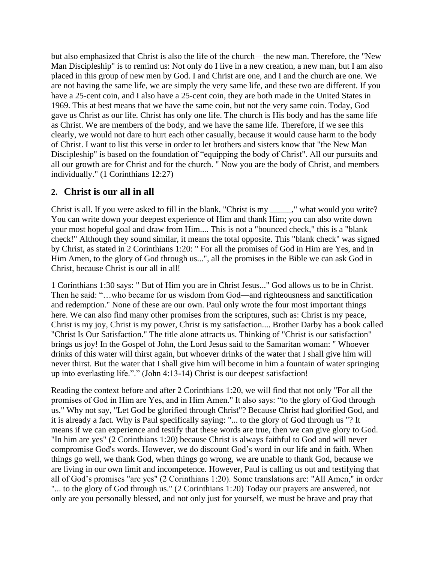but also emphasized that Christ is also the life of the church—the new man. Therefore, the "New Man Discipleship" is to remind us: Not only do I live in a new creation, a new man, but I am also placed in this group of new men by God. I and Christ are one, and I and the church are one. We are not having the same life, we are simply the very same life, and these two are different. If you have a 25-cent coin, and I also have a 25-cent coin, they are both made in the United States in 1969. This at best means that we have the same coin, but not the very same coin. Today, God gave us Christ as our life. Christ has only one life. The church is His body and has the same life as Christ. We are members of the body, and we have the same life. Therefore, if we see this clearly, we would not dare to hurt each other casually, because it would cause harm to the body of Christ. I want to list this verse in order to let brothers and sisters know that "the New Man Discipleship" is based on the foundation of "equipping the body of Christ". All our pursuits and all our growth are for Christ and for the church. " Now you are the body of Christ, and members individually." (1 Corinthians 12:27)

### **2. Christ is our all in all**

Christ is all. If you were asked to fill in the blank, "Christ is my \_\_\_\_\_," what would you write? You can write down your deepest experience of Him and thank Him; you can also write down your most hopeful goal and draw from Him.... This is not a "bounced check," this is a "blank check!" Although they sound similar, it means the total opposite. This "blank check" was signed by Christ, as stated in 2 Corinthians 1:20: " For all the promises of God in Him are Yes, and in Him Amen, to the glory of God through us...", all the promises in the Bible we can ask God in Christ, because Christ is our all in all!

1 Corinthians 1:30 says: " But of Him you are in Christ Jesus..." God allows us to be in Christ. Then he said: "…who became for us wisdom from God—and righteousness and sanctification and redemption." None of these are our own. Paul only wrote the four most important things here. We can also find many other promises from the scriptures, such as: Christ is my peace, Christ is my joy, Christ is my power, Christ is my satisfaction.... Brother Darby has a book called "Christ Is Our Satisfaction." The title alone attracts us. Thinking of "Christ is our satisfaction" brings us joy! In the Gospel of John, the Lord Jesus said to the Samaritan woman: " Whoever drinks of this water will thirst again, but whoever drinks of the water that I shall give him will never thirst. But the water that I shall give him will become in him a fountain of water springing up into everlasting life."." (John 4:13-14) Christ is our deepest satisfaction!

Reading the context before and after 2 Corinthians 1:20, we will find that not only "For all the promises of God in Him are Yes, and in Him Amen." It also says: "to the glory of God through us." Why not say, "Let God be glorified through Christ"? Because Christ had glorified God, and it is already a fact. Why is Paul specifically saying: "... to the glory of God through us "? It means if we can experience and testify that these words are true, then we can give glory to God. "In him are yes" (2 Corinthians 1:20) because Christ is always faithful to God and will never compromise God's words. However, we do discount God's word in our life and in faith. When things go well, we thank God, when things go wrong, we are unable to thank God, because we are living in our own limit and incompetence. However, Paul is calling us out and testifying that all of God's promises "are yes" (2 Corinthians 1:20). Some translations are: "All Amen," in order "... to the glory of God through us." (2 Corinthians 1:20) Today our prayers are answered, not only are you personally blessed, and not only just for yourself, we must be brave and pray that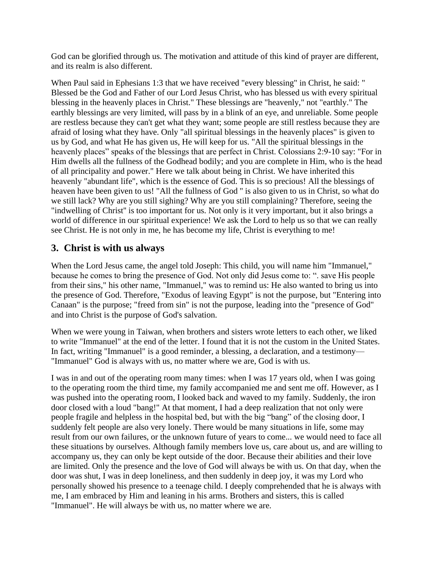God can be glorified through us. The motivation and attitude of this kind of prayer are different, and its realm is also different.

When Paul said in Ephesians 1:3 that we have received "every blessing" in Christ, he said: " Blessed be the God and Father of our Lord Jesus Christ, who has blessed us with every spiritual blessing in the heavenly places in Christ." These blessings are "heavenly," not "earthly." The earthly blessings are very limited, will pass by in a blink of an eye, and unreliable. Some people are restless because they can't get what they want; some people are still restless because they are afraid of losing what they have. Only "all spiritual blessings in the heavenly places" is given to us by God, and what He has given us, He will keep for us. "All the spiritual blessings in the heavenly places" speaks of the blessings that are perfect in Christ. Colossians 2:9-10 say: "For in Him dwells all the fullness of the Godhead bodily; and you are complete in Him, who is the head of all principality and power." Here we talk about being in Christ. We have inherited this heavenly "abundant life", which is the essence of God. This is so precious! All the blessings of heaven have been given to us! "All the fullness of God '' is also given to us in Christ, so what do we still lack? Why are you still sighing? Why are you still complaining? Therefore, seeing the "indwelling of Christ'' is too important for us. Not only is it very important, but it also brings a world of difference in our spiritual experience! We ask the Lord to help us so that we can really see Christ. He is not only in me, he has become my life, Christ is everything to me!

### **3. Christ is with us always**

When the Lord Jesus came, the angel told Joseph: This child, you will name him "Immanuel," because he comes to bring the presence of God. Not only did Jesus come to: ". save His people from their sins," his other name, "Immanuel," was to remind us: He also wanted to bring us into the presence of God. Therefore, "Exodus of leaving Egypt" is not the purpose, but "Entering into Canaan" is the purpose; "freed from sin" is not the purpose, leading into the "presence of God" and into Christ is the purpose of God's salvation.

When we were young in Taiwan, when brothers and sisters wrote letters to each other, we liked to write "Immanuel" at the end of the letter. I found that it is not the custom in the United States. In fact, writing "Immanuel" is a good reminder, a blessing, a declaration, and a testimony— "Immanuel" God is always with us, no matter where we are, God is with us.

I was in and out of the operating room many times: when I was 17 years old, when I was going to the operating room the third time, my family accompanied me and sent me off. However, as I was pushed into the operating room, I looked back and waved to my family. Suddenly, the iron door closed with a loud "bang!" At that moment, I had a deep realization that not only were people fragile and helpless in the hospital bed, but with the big "bang" of the closing door, I suddenly felt people are also very lonely. There would be many situations in life, some may result from our own failures, or the unknown future of years to come... we would need to face all these situations by ourselves. Although family members love us, care about us, and are willing to accompany us, they can only be kept outside of the door. Because their abilities and their love are limited. Only the presence and the love of God will always be with us. On that day, when the door was shut, I was in deep loneliness, and then suddenly in deep joy, it was my Lord who personally showed his presence to a teenage child. I deeply comprehended that he is always with me, I am embraced by Him and leaning in his arms. Brothers and sisters, this is called "Immanuel". He will always be with us, no matter where we are.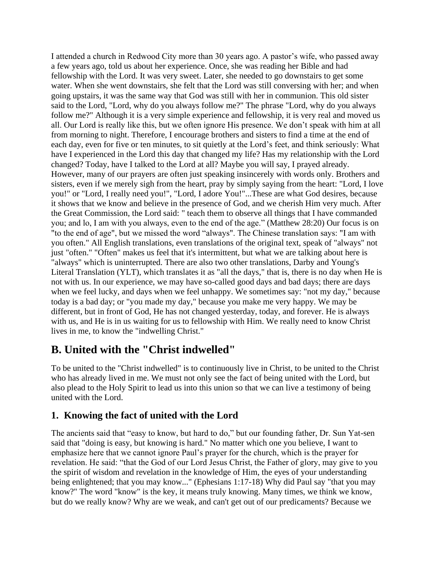I attended a church in Redwood City more than 30 years ago. A pastor's wife, who passed away a few years ago, told us about her experience. Once, she was reading her Bible and had fellowship with the Lord. It was very sweet. Later, she needed to go downstairs to get some water. When she went downstairs, she felt that the Lord was still conversing with her; and when going upstairs, it was the same way that God was still with her in communion. This old sister said to the Lord, "Lord, why do you always follow me?" The phrase "Lord, why do you always follow me?" Although it is a very simple experience and fellowship, it is very real and moved us all. Our Lord is really like this, but we often ignore His presence. We don't speak with him at all from morning to night. Therefore, I encourage brothers and sisters to find a time at the end of each day, even for five or ten minutes, to sit quietly at the Lord's feet, and think seriously: What have I experienced in the Lord this day that changed my life? Has my relationship with the Lord changed? Today, have I talked to the Lord at all? Maybe you will say, I prayed already. However, many of our prayers are often just speaking insincerely with words only. Brothers and sisters, even if we merely sigh from the heart, pray by simply saying from the heart: "Lord, I love you!" or "Lord, I really need you!", "Lord, I adore You!"...These are what God desires, because it shows that we know and believe in the presence of God, and we cherish Him very much. After the Great Commission, the Lord said: " teach them to observe all things that I have commanded you; and lo, I am with you always, even to the end of the age." (Matthew 28:20) Our focus is on "to the end of age", but we missed the word "always". The Chinese translation says: "I am with you often." All English translations, even translations of the original text, speak of "always" not just "often." "Often" makes us feel that it's intermittent, but what we are talking about here is "always" which is uninterrupted. There are also two other translations, Darby and Young's Literal Translation (YLT), which translates it as "all the days," that is, there is no day when He is not with us. In our experience, we may have so-called good days and bad days; there are days when we feel lucky, and days when we feel unhappy. We sometimes say: "not my day," because today is a bad day; or "you made my day," because you make me very happy. We may be different, but in front of God, He has not changed yesterday, today, and forever. He is always with us, and He is in us waiting for us to fellowship with Him. We really need to know Christ lives in me, to know the "indwelling Christ."

## **B. United with the "Christ indwelled"**

To be united to the "Christ indwelled" is to continuously live in Christ, to be united to the Christ who has already lived in me. We must not only see the fact of being united with the Lord, but also plead to the Holy Spirit to lead us into this union so that we can live a testimony of being united with the Lord.

## **1. Knowing the fact of united with the Lord**

The ancients said that "easy to know, but hard to do," but our founding father, Dr. Sun Yat-sen said that "doing is easy, but knowing is hard." No matter which one you believe, I want to emphasize here that we cannot ignore Paul's prayer for the church, which is the prayer for revelation. He said: "that the God of our Lord Jesus Christ, the Father of glory, may give to you the spirit of wisdom and revelation in the knowledge of Him, the eyes of your understanding being enlightened; that you may know..." (Ephesians 1:17-18) Why did Paul say "that you may know?" The word "know" is the key, it means truly knowing. Many times, we think we know, but do we really know? Why are we weak, and can't get out of our predicaments? Because we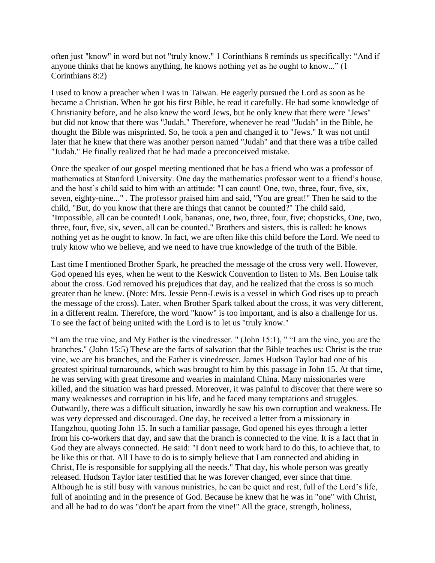often just "know" in word but not "truly know." 1 Corinthians 8 reminds us specifically: "And if anyone thinks that he knows anything, he knows nothing yet as he ought to know..." (1 Corinthians 8:2)

I used to know a preacher when I was in Taiwan. He eagerly pursued the Lord as soon as he became a Christian. When he got his first Bible, he read it carefully. He had some knowledge of Christianity before, and he also knew the word Jews, but he only knew that there were "Jews" but did not know that there was "Judah." Therefore, whenever he read "Judah" in the Bible, he thought the Bible was misprinted. So, he took a pen and changed it to "Jews." It was not until later that he knew that there was another person named "Judah" and that there was a tribe called "Judah." He finally realized that he had made a preconceived mistake.

Once the speaker of our gospel meeting mentioned that he has a friend who was a professor of mathematics at Stanford University. One day the mathematics professor went to a friend's house, and the host's child said to him with an attitude: "I can count! One, two, three, four, five, six, seven, eighty-nine..." . The professor praised him and said, "You are great!" Then he said to the child, "But, do you know that there are things that cannot be counted?" The child said, "Impossible, all can be counted! Look, bananas, one, two, three, four, five; chopsticks, One, two, three, four, five, six, seven, all can be counted." Brothers and sisters, this is called: he knows nothing yet as he ought to know. In fact, we are often like this child before the Lord. We need to truly know who we believe, and we need to have true knowledge of the truth of the Bible.

Last time I mentioned Brother Spark, he preached the message of the cross very well. However, God opened his eyes, when he went to the Keswick Convention to listen to Ms. Ben Louise talk about the cross. God removed his prejudices that day, and he realized that the cross is so much greater than he knew. (Note: Mrs. Jessie Penn-Lewis is a vessel in which God rises up to preach the message of the cross). Later, when Brother Spark talked about the cross, it was very different, in a different realm. Therefore, the word "know" is too important, and is also a challenge for us. To see the fact of being united with the Lord is to let us "truly know."

"I am the true vine, and My Father is the vinedresser. " (John 15:1), " "I am the vine, you are the branches." (John 15:5) These are the facts of salvation that the Bible teaches us: Christ is the true vine, we are his branches, and the Father is vinedresser. James Hudson Taylor had one of his greatest spiritual turnarounds, which was brought to him by this passage in John 15. At that time, he was serving with great tiresome and wearies in mainland China. Many missionaries were killed, and the situation was hard pressed. Moreover, it was painful to discover that there were so many weaknesses and corruption in his life, and he faced many temptations and struggles. Outwardly, there was a difficult situation, inwardly he saw his own corruption and weakness. He was very depressed and discouraged. One day, he received a letter from a missionary in Hangzhou, quoting John 15. In such a familiar passage, God opened his eyes through a letter from his co-workers that day, and saw that the branch is connected to the vine. It is a fact that in God they are always connected. He said: "I don't need to work hard to do this, to achieve that, to be like this or that. All I have to do is to simply believe that I am connected and abiding in Christ, He is responsible for supplying all the needs." That day, his whole person was greatly released. Hudson Taylor later testified that he was forever changed, ever since that time. Although he is still busy with various ministries, he can be quiet and rest, full of the Lord's life, full of anointing and in the presence of God. Because he knew that he was in "one" with Christ, and all he had to do was "don't be apart from the vine!" All the grace, strength, holiness,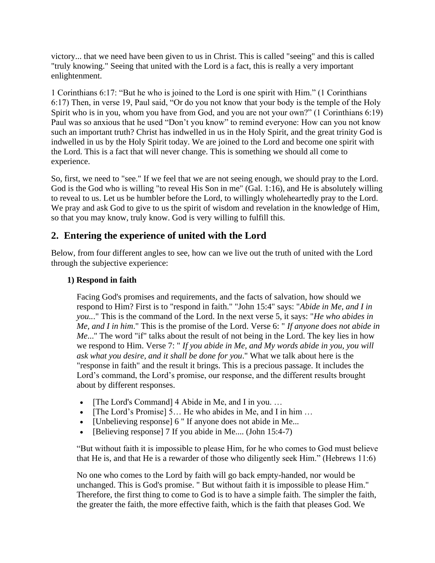victory... that we need have been given to us in Christ. This is called "seeing" and this is called "truly knowing." Seeing that united with the Lord is a fact, this is really a very important enlightenment.

1 Corinthians 6:17: "But he who is joined to the Lord is one spirit with Him." (1 Corinthians 6:17) Then, in verse 19, Paul said, "Or do you not know that your body is the temple of the Holy Spirit who is in you, whom you have from God, and you are not your own?" (1 Corinthians 6:19) Paul was so anxious that he used "Don't you know" to remind everyone: How can you not know such an important truth? Christ has indwelled in us in the Holy Spirit, and the great trinity God is indwelled in us by the Holy Spirit today. We are joined to the Lord and become one spirit with the Lord. This is a fact that will never change. This is something we should all come to experience.

So, first, we need to "see." If we feel that we are not seeing enough, we should pray to the Lord. God is the God who is willing "to reveal His Son in me" (Gal. 1:16), and He is absolutely willing to reveal to us. Let us be humbler before the Lord, to willingly wholeheartedly pray to the Lord. We pray and ask God to give to us the spirit of wisdom and revelation in the knowledge of Him, so that you may know, truly know. God is very willing to fulfill this.

### **2. Entering the experience of united with the Lord**

Below, from four different angles to see, how can we live out the truth of united with the Lord through the subjective experience:

### **1) Respond in faith**

Facing God's promises and requirements, and the facts of salvation, how should we respond to Him? First is to "respond in faith." "John 15:4" says: "*Abide in Me, and I in you..*." This is the command of the Lord. In the next verse 5, it says: "*He who abides in Me, and I in him*." This is the promise of the Lord. Verse 6: " *If anyone does not abide in Me*..." The word "if" talks about the result of not being in the Lord. The key lies in how we respond to Him. Verse 7: " *If you abide in Me, and My words abide in you, you will ask what you desire, and it shall be done for you*." What we talk about here is the "response in faith" and the result it brings. This is a precious passage. It includes the Lord's command, the Lord's promise, our response, and the different results brought about by different responses.

- [The Lord's Command] 4 Abide in Me, and I in you. ...
- [The Lord's Promise] 5... He who abides in Me, and I in him ...
- [Unbelieving response] 6 " If anyone does not abide in Me...
- [Believing response] 7 If you abide in Me.... (John 15:4-7)

"But without faith it is impossible to please Him, for he who comes to God must believe that He is, and that He is a rewarder of those who diligently seek Him." (Hebrews 11:6)

No one who comes to the Lord by faith will go back empty-handed, nor would be unchanged. This is God's promise. " But without faith it is impossible to please Him." Therefore, the first thing to come to God is to have a simple faith. The simpler the faith, the greater the faith, the more effective faith, which is the faith that pleases God. We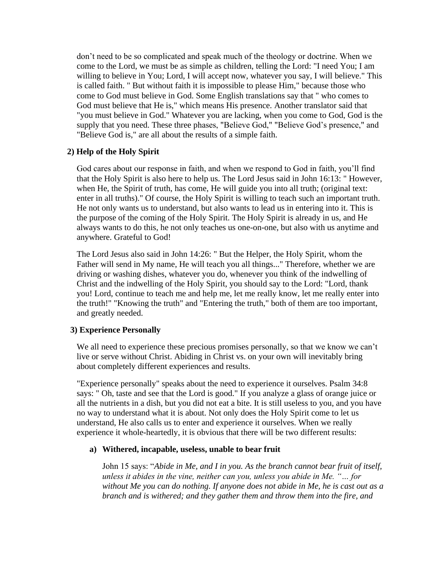don't need to be so complicated and speak much of the theology or doctrine. When we come to the Lord, we must be as simple as children, telling the Lord: "I need You; I am willing to believe in You; Lord, I will accept now, whatever you say, I will believe." This is called faith. " But without faith it is impossible to please Him," because those who come to God must believe in God. Some English translations say that " who comes to God must believe that He is," which means His presence. Another translator said that "you must believe in God." Whatever you are lacking, when you come to God, God is the supply that you need. These three phases, "Believe God," "Believe God's presence," and "Believe God is," are all about the results of a simple faith.

#### **2) Help of the Holy Spirit**

God cares about our response in faith, and when we respond to God in faith, you'll find that the Holy Spirit is also here to help us. The Lord Jesus said in John 16:13: " However, when He, the Spirit of truth, has come, He will guide you into all truth; (original text: enter in all truths)." Of course, the Holy Spirit is willing to teach such an important truth. He not only wants us to understand, but also wants to lead us in entering into it. This is the purpose of the coming of the Holy Spirit. The Holy Spirit is already in us, and He always wants to do this, he not only teaches us one-on-one, but also with us anytime and anywhere. Grateful to God!

The Lord Jesus also said in John 14:26: " But the Helper, the Holy Spirit, whom the Father will send in My name, He will teach you all things..." Therefore, whether we are driving or washing dishes, whatever you do, whenever you think of the indwelling of Christ and the indwelling of the Holy Spirit, you should say to the Lord: "Lord, thank you! Lord, continue to teach me and help me, let me really know, let me really enter into the truth!" "Knowing the truth" and "Entering the truth," both of them are too important, and greatly needed.

#### **3) Experience Personally**

We all need to experience these precious promises personally, so that we know we can't live or serve without Christ. Abiding in Christ vs. on your own will inevitably bring about completely different experiences and results.

"Experience personally" speaks about the need to experience it ourselves. Psalm 34:8 says: " Oh, taste and see that the Lord is good." If you analyze a glass of orange juice or all the nutrients in a dish, but you did not eat a bite. It is still useless to you, and you have no way to understand what it is about. Not only does the Holy Spirit come to let us understand, He also calls us to enter and experience it ourselves. When we really experience it whole-heartedly, it is obvious that there will be two different results:

#### **a) Withered, incapable, useless, unable to bear fruit**

John 15 says: "*Abide in Me, and I in you. As the branch cannot bear fruit of itself, unless it abides in the vine, neither can you, unless you abide in Me. "… for without Me you can do nothing. If anyone does not abide in Me, he is cast out as a branch and is withered; and they gather them and throw them into the fire, and*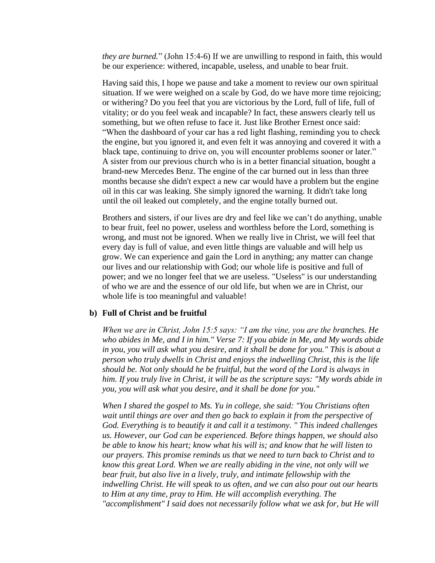*they are burned.*" (John 15:4-6) If we are unwilling to respond in faith, this would be our experience: withered, incapable, useless, and unable to bear fruit.

Having said this, I hope we pause and take a moment to review our own spiritual situation. If we were weighed on a scale by God, do we have more time rejoicing; or withering? Do you feel that you are victorious by the Lord, full of life, full of vitality; or do you feel weak and incapable? In fact, these answers clearly tell us something, but we often refuse to face it. Just like Brother Ernest once said: "When the dashboard of your car has a red light flashing, reminding you to check the engine, but you ignored it, and even felt it was annoying and covered it with a black tape, continuing to drive on, you will encounter problems sooner or later." A sister from our previous church who is in a better financial situation, bought a brand-new Mercedes Benz. The engine of the car burned out in less than three months because she didn't expect a new car would have a problem but the engine oil in this car was leaking. She simply ignored the warning. It didn't take long until the oil leaked out completely, and the engine totally burned out.

Brothers and sisters, if our lives are dry and feel like we can't do anything, unable to bear fruit, feel no power, useless and worthless before the Lord, something is wrong, and must not be ignored. When we really live in Christ, we will feel that every day is full of value, and even little things are valuable and will help us grow. We can experience and gain the Lord in anything; any matter can change our lives and our relationship with God; our whole life is positive and full of power; and we no longer feel that we are useless. "Useless" is our understanding of who we are and the essence of our old life, but when we are in Christ, our whole life is too meaningful and valuable!

#### **b) Full of Christ and be fruitful**

*When we are in Christ, John 15:5 says: "I am the vine, you are the branches. He who abides in Me, and I in him." Verse 7: If you abide in Me, and My words abide in you, you will ask what you desire, and it shall be done for you." This is about a person who truly dwells in Christ and enjoys the indwelling Christ, this is the life should be. Not only should he be fruitful, but the word of the Lord is always in him. If you truly live in Christ, it will be as the scripture says: "My words abide in you, you will ask what you desire, and it shall be done for you."*

*When I shared the gospel to Ms. Yu in college, she said: "You Christians often wait until things are over and then go back to explain it from the perspective of God. Everything is to beautify it and call it a testimony. " This indeed challenges us. However, our God can be experienced. Before things happen, we should also be able to know his heart; know what his will is; and know that he will listen to our prayers. This promise reminds us that we need to turn back to Christ and to know this great Lord. When we are really abiding in the vine, not only will we bear fruit, but also live in a lively, truly, and intimate fellowship with the indwelling Christ. He will speak to us often, and we can also pour out our hearts to Him at any time, pray to Him. He will accomplish everything. The "accomplishment" I said does not necessarily follow what we ask for, but He will*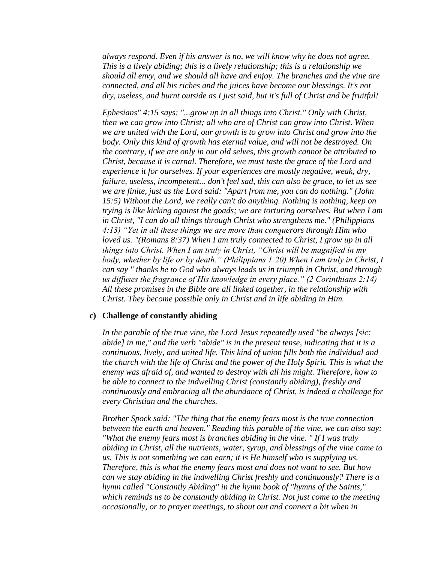*always respond. Even if his answer is no, we will know why he does not agree. This is a lively abiding; this is a lively relationship; this is a relationship we should all envy, and we should all have and enjoy. The branches and the vine are connected, and all his riches and the juices have become our blessings. It's not dry, useless, and burnt outside as I just said, but it's full of Christ and be fruitful!*

*Ephesians" 4:15 says: "...grow up in all things into Christ." Only with Christ, then we can grow into Christ; all who are of Christ can grow into Christ. When we are united with the Lord, our growth is to grow into Christ and grow into the body. Only this kind of growth has eternal value, and will not be destroyed. On the contrary, if we are only in our old selves, this growth cannot be attributed to Christ, because it is carnal. Therefore, we must taste the grace of the Lord and experience it for ourselves. If your experiences are mostly negative, weak, dry, failure, useless, incompetent... don't feel sad, this can also be grace, to let us see we are finite, just as the Lord said: "Apart from me, you can do nothing." (John 15:5) Without the Lord, we really can't do anything. Nothing is nothing, keep on trying is like kicking against the goads; we are torturing ourselves. But when I am in Christ, "I can do all things through Christ who strengthens me." (Philippians 4:13) "Yet in all these things we are more than conquerors through Him who loved us. "(Romans 8:37) When I am truly connected to Christ, I grow up in all things into Christ. When I am truly in Christ, "Christ will be magnified in my body, whether by life or by death." (Philippians 1:20) When I am truly in Christ, I can say " thanks be to God who always leads us in triumph in Christ, and through us diffuses the fragrance of His knowledge in every place." (2 Corinthians 2:14) All these promises in the Bible are all linked together, in the relationship with Christ. They become possible only in Christ and in life abiding in Him.*

#### **c) Challenge of constantly abiding**

*In the parable of the true vine, the Lord Jesus repeatedly used "be always [sic: abide] in me," and the verb "abide" is in the present tense, indicating that it is a continuous, lively, and united life. This kind of union fills both the individual and the church with the life of Christ and the power of the Holy Spirit. This is what the enemy was afraid of, and wanted to destroy with all his might. Therefore, how to be able to connect to the indwelling Christ (constantly abiding), freshly and continuously and embracing all the abundance of Christ, is indeed a challenge for every Christian and the churches.*

*Brother Spock said: "The thing that the enemy fears most is the true connection between the earth and heaven." Reading this parable of the vine, we can also say: "What the enemy fears most is branches abiding in the vine. " If I was truly abiding in Christ, all the nutrients, water, syrup, and blessings of the vine came to us. This is not something we can earn; it is He himself who is supplying us. Therefore, this is what the enemy fears most and does not want to see. But how can we stay abiding in the indwelling Christ freshly and continuously? There is a hymn called "Constantly Abiding" in the hymn book of "hymns of the Saints," which reminds us to be constantly abiding in Christ. Not just come to the meeting occasionally, or to prayer meetings, to shout out and connect a bit when in*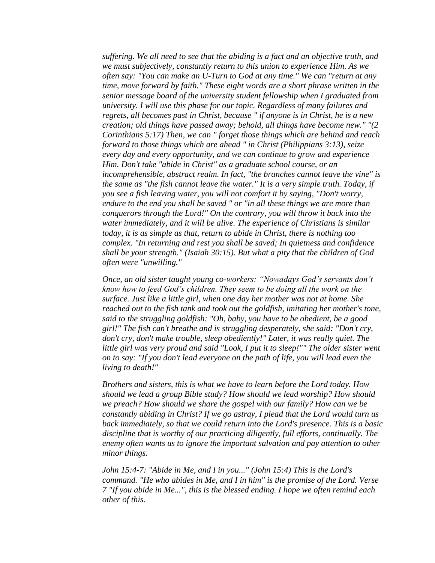*suffering. We all need to see that the abiding is a fact and an objective truth, and we must subjectively, constantly return to this union to experience Him. As we often say: "You can make an U-Turn to God at any time." We can "return at any time, move forward by faith." These eight words are a short phrase written in the senior message board of the university student fellowship when I graduated from university. I will use this phase for our topic. Regardless of many failures and regrets, all becomes past in Christ, because " if anyone is in Christ, he is a new creation; old things have passed away; behold, all things have become new." "(2 Corinthians 5:17) Then, we can " forget those things which are behind and reach forward to those things which are ahead " in Christ (Philippians 3:13), seize every day and every opportunity, and we can continue to grow and experience Him. Don't take "abide in Christ" as a graduate school course, or an incomprehensible, abstract realm. In fact, "the branches cannot leave the vine" is the same as "the fish cannot leave the water." It is a very simple truth. Today, if you see a fish leaving water, you will not comfort it by saying, "Don't worry, endure to the end you shall be saved " or "in all these things we are more than conquerors through the Lord!" On the contrary, you will throw it back into the water immediately, and it will be alive. The experience of Christians is similar today, it is as simple as that, return to abide in Christ, there is nothing too complex. "In returning and rest you shall be saved; In quietness and confidence shall be your strength." (Isaiah 30:15). But what a pity that the children of God often were "unwilling."* 

*Once, an old sister taught young co-workers: "Nowadays God's servants don't know how to feed God's children. They seem to be doing all the work on the surface. Just like a little girl, when one day her mother was not at home. She reached out to the fish tank and took out the goldfish, imitating her mother's tone, said to the struggling goldfish: "Oh, baby, you have to be obedient, be a good girl!" The fish can't breathe and is struggling desperately, she said: "Don't cry, don't cry, don't make trouble, sleep obediently!" Later, it was really quiet. The little girl was very proud and said "Look, I put it to sleep!"" The older sister went on to say: "If you don't lead everyone on the path of life, you will lead even the living to death!"*

*Brothers and sisters, this is what we have to learn before the Lord today. How should we lead a group Bible study? How should we lead worship? How should we preach? How should we share the gospel with our family? How can we be constantly abiding in Christ? If we go astray, I plead that the Lord would turn us back immediately, so that we could return into the Lord's presence. This is a basic discipline that is worthy of our practicing diligently, full efforts, continually. The enemy often wants us to ignore the important salvation and pay attention to other minor things.*

*John 15:4-7: "Abide in Me, and I in you..." (John 15:4) This is the Lord's command. "He who abides in Me, and I in him" is the promise of the Lord. Verse 7 "If you abide in Me...", this is the blessed ending. I hope we often remind each other of this.*